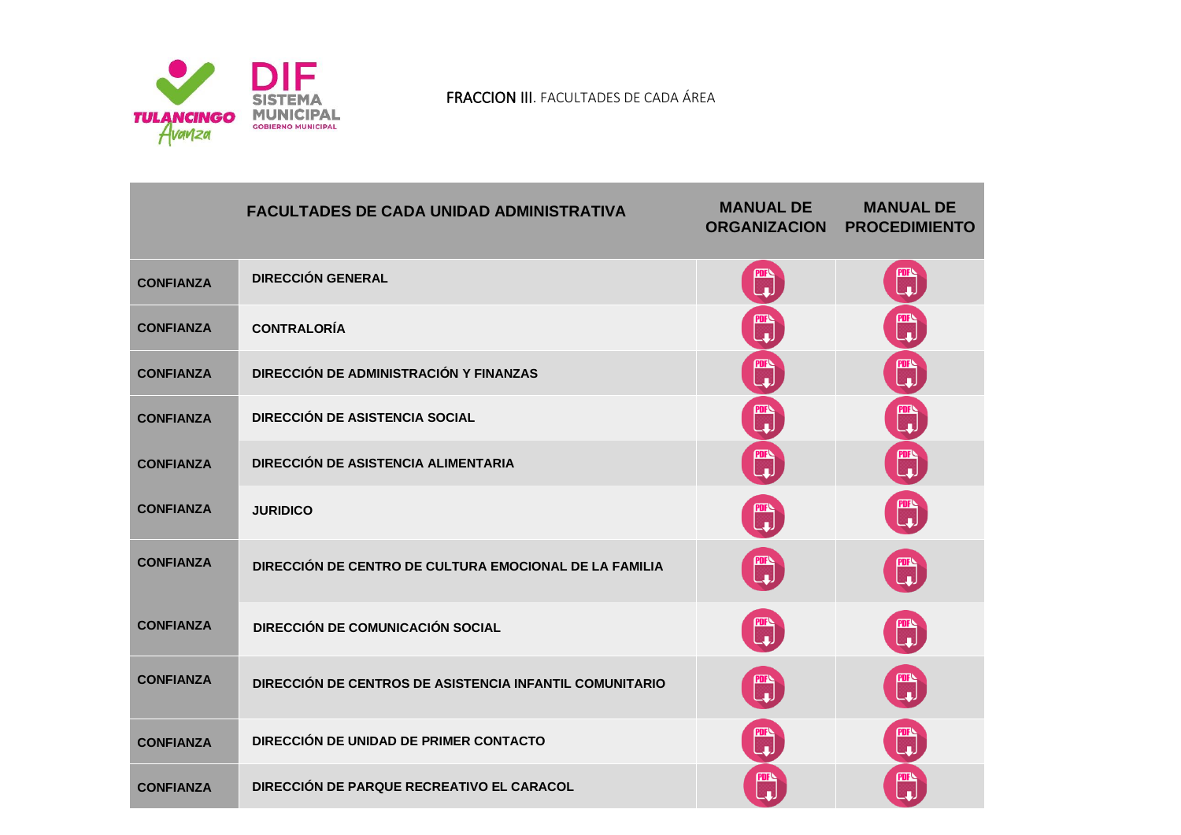

|                  | <b>FACULTADES DE CADA UNIDAD ADMINISTRATIVA</b>         | <b>MANUAL DE</b><br><b>ORGANIZACION</b>                       | <b>MANUAL DE</b><br><b>PROCEDIMIENTO</b> |
|------------------|---------------------------------------------------------|---------------------------------------------------------------|------------------------------------------|
| <b>CONFIANZA</b> | <b>DIRECCIÓN GENERAL</b>                                | ▒                                                             | <b>PDFN</b><br>Lup                       |
| <b>CONFIANZA</b> | <b>CONTRALORÍA</b>                                      | 郦                                                             | T.                                       |
| <b>CONFIANZA</b> | DIRECCIÓN DE ADMINISTRACIÓN Y FINANZAS                  | 四                                                             | ti<br>Li                                 |
| <b>CONFIANZA</b> | <b>DIRECCIÓN DE ASISTENCIA SOCIAL</b>                   | 鹛                                                             | nis<br>Li                                |
| <b>CONFIANZA</b> | <b>DIRECCIÓN DE ASISTENCIA ALIMENTARIA</b>              | 鹛                                                             | ti<br>Li                                 |
| <b>CONFIANZA</b> | <b>JURIDICO</b>                                         | PDFN<br>Lud                                                   | 四                                        |
| <b>CONFIANZA</b> | DIRECCIÓN DE CENTRO DE CULTURA EMOCIONAL DE LA FAMILIA  | $\begin{bmatrix} \overline{mn} \\ \overline{m} \end{bmatrix}$ | T)                                       |
| <b>CONFIANZA</b> | <b>DIRECCIÓN DE COMUNICACIÓN SOCIAL</b>                 | ▒                                                             | ▒                                        |
| <b>CONFIANZA</b> | DIRECCIÓN DE CENTROS DE ASISTENCIA INFANTIL COMUNITARIO | ▓                                                             | T)                                       |
| <b>CONFIANZA</b> | DIRECCIÓN DE UNIDAD DE PRIMER CONTACTO                  | 噩                                                             |                                          |
| <b>CONFIANZA</b> | DIRECCIÓN DE PARQUE RECREATIVO EL CARACOL               | nik<br>I                                                      | 吧<br>-                                   |